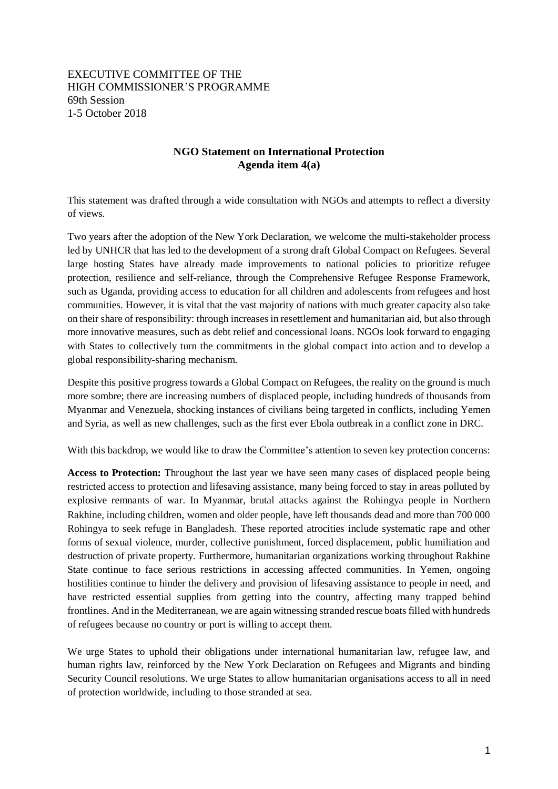## EXECUTIVE COMMITTEE OF THE HIGH COMMISSIONER'S PROGRAMME 69th Session 1-5 October 2018

## **NGO Statement on International Protection Agenda item 4(a)**

This statement was drafted through a wide consultation with NGOs and attempts to reflect a diversity of views.

Two years after the adoption of the New York Declaration, we welcome the multi-stakeholder process led by UNHCR that has led to the development of a strong draft Global Compact on Refugees. Several large hosting States have already made improvements to national policies to prioritize refugee protection, resilience and self-reliance, through the Comprehensive Refugee Response Framework, such as Uganda, providing access to education for all children and adolescents from refugees and host communities. However, it is vital that the vast majority of nations with much greater capacity also take on their share of responsibility: through increases in resettlement and humanitarian aid, but also through more innovative measures, such as debt relief and concessional loans. NGOs look forward to engaging with States to collectively turn the commitments in the global compact into action and to develop a global responsibility-sharing mechanism.

Despite this positive progress towards a Global Compact on Refugees, the reality on the ground is much more sombre; there are increasing numbers of displaced people, including hundreds of thousands from Myanmar and Venezuela, shocking instances of civilians being targeted in conflicts, including Yemen and Syria, as well as new challenges, such as the first ever Ebola outbreak in a conflict zone in DRC.

With this backdrop, we would like to draw the Committee's attention to seven key protection concerns:

**Access to Protection:** Throughout the last year we have seen many cases of displaced people being restricted access to protection and lifesaving assistance, many being forced to stay in areas polluted by explosive remnants of war. In Myanmar, brutal attacks against the Rohingya people in Northern Rakhine, including children, women and older people, have left thousands dead and more than 700 000 Rohingya to seek refuge in Bangladesh. These reported atrocities include systematic rape and other forms of sexual violence, murder, collective punishment, forced displacement, public humiliation and destruction of private property. Furthermore, humanitarian organizations working throughout Rakhine State continue to face serious restrictions in accessing affected communities. In Yemen, ongoing hostilities continue to hinder the delivery and provision of lifesaving assistance to people in need, and have restricted essential supplies from getting into the country, affecting many trapped behind frontlines. And in the Mediterranean, we are again witnessing stranded rescue boats filled with hundreds of [refugees](https://www.independent.co.uk/topic/Refugees) because no country or port is willing to accept them.

We urge States to uphold their obligations under international humanitarian law, refugee law, and human rights law, reinforced by the New York Declaration on Refugees and Migrants and binding Security Council resolutions. We urge States to allow humanitarian organisations access to all in need of protection worldwide, including to those stranded at sea.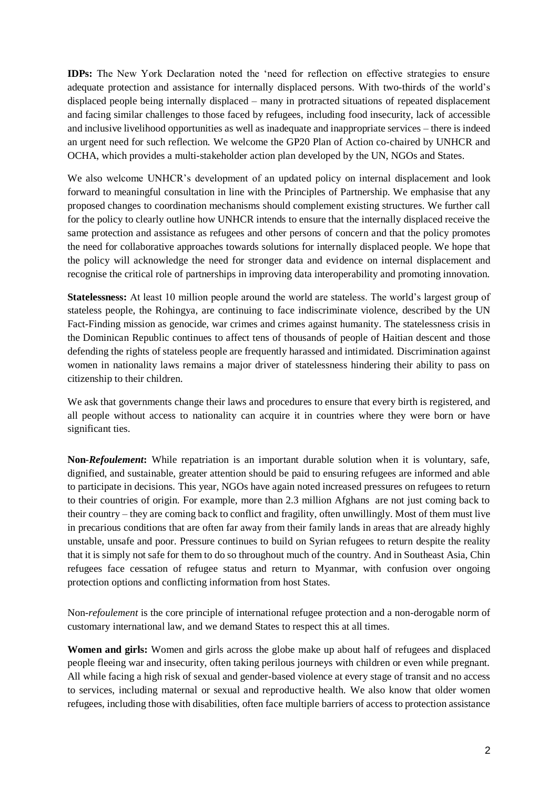**IDPs:** The New York Declaration noted the 'need for reflection on effective strategies to ensure adequate protection and assistance for internally displaced persons. With two-thirds of the world's displaced people being internally displaced – many in protracted situations of repeated displacement and facing similar challenges to those faced by refugees, including food insecurity, lack of accessible and inclusive livelihood opportunities as well as inadequate and inappropriate services – there is indeed an urgent need for such reflection. We welcome the GP20 Plan of Action co-chaired by UNHCR and OCHA, which provides a multi-stakeholder action plan developed by the UN, NGOs and States.

We also welcome UNHCR's development of an updated policy on internal displacement and look forward to meaningful consultation in line with the Principles of Partnership. We emphasise that any proposed changes to coordination mechanisms should complement existing structures. We further call for the policy to clearly outline how UNHCR intends to ensure that the internally displaced receive the same protection and assistance as refugees and other persons of concern and that the policy promotes the need for collaborative approaches towards solutions for internally displaced people. We hope that the policy will acknowledge the need for stronger data and evidence on internal displacement and recognise the critical role of partnerships in improving data interoperability and promoting innovation.

**Statelessness:** At least 10 million people around the world are stateless. The world's largest group of stateless people, the Rohingya, are continuing to face indiscriminate violence, described by the UN Fact-Finding mission as genocide, war crimes and crimes against humanity. The statelessness crisis in the Dominican Republic continues to affect tens of thousands of people of Haitian descent and those defending the rights of stateless people are frequently harassed and intimidated. Discrimination against women in nationality laws remains a major driver of statelessness hindering their ability to pass on citizenship to their children.

We ask that governments change their laws and procedures to ensure that every birth is registered, and all people without access to nationality can acquire it in countries where they were born or have significant ties.

**Non-***Refoulement***:** While repatriation is an important durable solution when it is voluntary, safe, dignified, and sustainable, greater attention should be paid to ensuring refugees are informed and able to participate in decisions. This year, NGOs have again noted increased pressures on refugees to return to their countries of origin. For example, more than 2.3 million Afghans are not just coming back to their country – they are [coming back to conflict and fragility,](https://www.oxfam.org/en/research/returning-fragility-exploring-link-between-conflict-and-returnees-afghanistan) often unwillingly. Most of them must live in precarious conditions that are often far away from their family lands in areas that are already highly unstable, unsafe and poor. Pressure continues to build on Syrian refugees to return despite the reality that it is simply not safe for them to do so throughout much of the country. And in Southeast Asia, Chin refugees face cessation of refugee status and return to Myanmar, with confusion over ongoing protection options and conflicting information from host States.

Non-*refoulement* is the core principle of international refugee protection and a non-derogable norm of customary international law, and we demand States to respect this at all times.

**Women and girls:** Women and girls across the globe make up about half of refugees and displaced people fleeing war and insecurity, often taking perilous journeys with children or even while pregnant. All while facing a high risk of sexual and gender-based violence at every stage of transit and no access to services, including maternal or sexual and reproductive health. We also know that older women refugees, including those with disabilities, often face multiple barriers of access to protection assistance